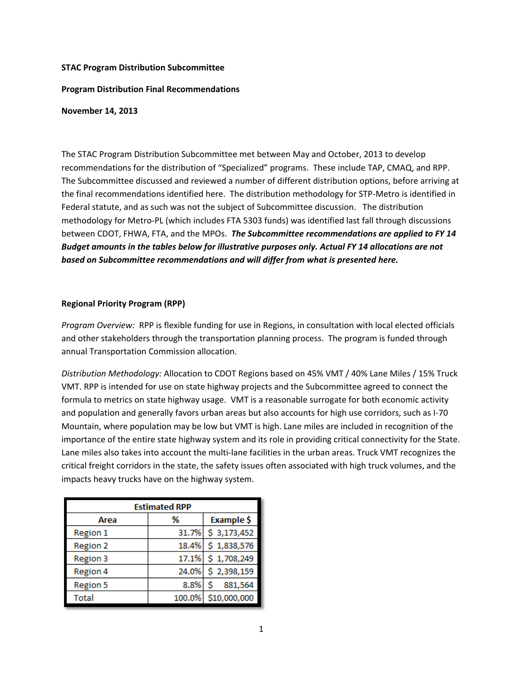### **STAC Program Distribution Subcommittee**

# **Program Distribution Final Recommendations**

#### **November 14, 2013**

The STAC Program Distribution Subcommittee met between May and October, 2013 to develop recommendations for the distribution of "Specialized" programs. These include TAP, CMAQ, and RPP. The Subcommittee discussed and reviewed a number of different distribution options, before arriving at the final recommendations identified here. The distribution methodology for STP-Metro is identified in Federal statute, and as such was not the subject of Subcommittee discussion. The distribution methodology for Metro-PL (which includes FTA 5303 funds) was identified last fall through discussions between CDOT, FHWA, FTA, and the MPOs. *The Subcommittee recommendations are applied to FY 14 Budget amounts in the tables below for illustrative purposes only. Actual FY 14 allocations are not based on Subcommittee recommendations and will differ from what is presented here.*

### **Regional Priority Program (RPP)**

*Program Overview:* RPP is flexible funding for use in Regions, in consultation with local elected officials and other stakeholders through the transportation planning process. The program is funded through annual Transportation Commission allocation.

*Distribution Methodology:* Allocation to CDOT Regions based on 45% VMT / 40% Lane Miles / 15% Truck VMT. RPP is intended for use on state highway projects and the Subcommittee agreed to connect the formula to metrics on state highway usage. VMT is a reasonable surrogate for both economic activity and population and generally favors urban areas but also accounts for high use corridors, such as I-70 Mountain, where population may be low but VMT is high. Lane miles are included in recognition of the importance of the entire state highway system and its role in providing critical connectivity for the State. Lane miles also takes into account the multi-lane facilities in the urban areas. Truck VMT recognizes the critical freight corridors in the state, the safety issues often associated with high truck volumes, and the impacts heavy trucks have on the highway system.

| <b>Estimated RPP</b> |        |              |  |  |  |  |
|----------------------|--------|--------------|--|--|--|--|
| Area                 | %      | Example \$   |  |  |  |  |
| <b>Region 1</b>      | 31.7%  | \$3,173,452  |  |  |  |  |
| <b>Region 2</b>      | 18.4%  | \$1,838,576  |  |  |  |  |
| <b>Region 3</b>      | 17.1%  | \$1,708,249  |  |  |  |  |
| Region 4             | 24.0%  | \$2,398,159  |  |  |  |  |
| <b>Region 5</b>      | 8.8%   | 881,564      |  |  |  |  |
| Total                | 100.0% | \$10,000,000 |  |  |  |  |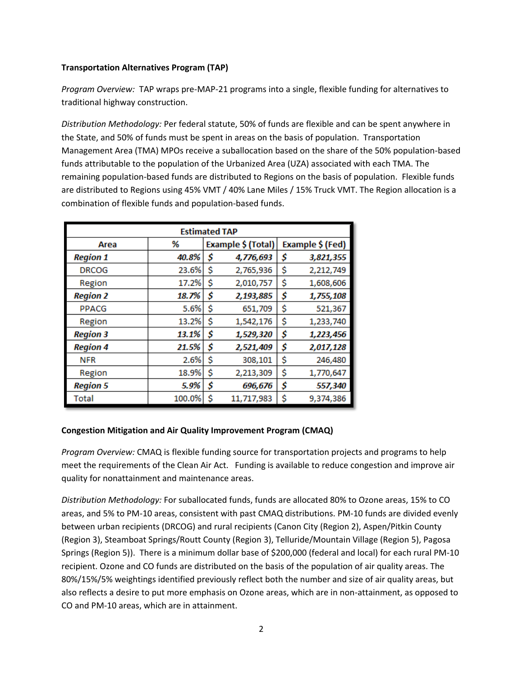# **Transportation Alternatives Program (TAP)**

*Program Overview:* TAP wraps pre-MAP-21 programs into a single, flexible funding for alternatives to traditional highway construction.

*Distribution Methodology:* Per federal statute, 50% of funds are flexible and can be spent anywhere in the State, and 50% of funds must be spent in areas on the basis of population. Transportation Management Area (TMA) MPOs receive a suballocation based on the share of the 50% population-based funds attributable to the population of the Urbanized Area (UZA) associated with each TMA. The remaining population-based funds are distributed to Regions on the basis of population. Flexible funds are distributed to Regions using 45% VMT / 40% Lane Miles / 15% Truck VMT. The Region allocation is a combination of flexible funds and population-based funds.

| <b>Estimated TAP</b> |        |                    |            |                  |           |  |
|----------------------|--------|--------------------|------------|------------------|-----------|--|
| Area                 | %      | Example \$ (Total) |            | Example \$ (Fed) |           |  |
| <b>Region 1</b>      | 40.8%  | \$                 | 4,776,693  | \$               | 3,821,355 |  |
| <b>DRCOG</b>         | 23.6%  | \$                 | 2,765,936  | \$               | 2,212,749 |  |
| Region               | 17.2%  | \$                 | 2,010,757  | \$               | 1,608,606 |  |
| <b>Region 2</b>      | 18.7%  | \$                 | 2,193,885  | \$               | 1,755,108 |  |
| <b>PPACG</b>         | 5.6%   | \$                 | 651,709    | \$               | 521,367   |  |
| Region               | 13.2%  | \$                 | 1,542,176  | \$               | 1,233,740 |  |
| <b>Region 3</b>      | 13.1%  | \$                 | 1,529,320  | \$               | 1,223,456 |  |
| <b>Region 4</b>      | 21.5%  | \$                 | 2,521,409  | \$               | 2,017,128 |  |
| <b>NFR</b>           | 2.6%   | \$                 | 308,101    | \$               | 246,480   |  |
| Region               | 18.9%  | \$                 | 2,213,309  | \$               | 1,770,647 |  |
| <b>Region 5</b>      | 5.9%   | \$                 | 696,676    | \$               | 557,340   |  |
| Total                | 100.0% | \$                 | 11,717,983 | \$               | 9,374,386 |  |

# **Congestion Mitigation and Air Quality Improvement Program (CMAQ)**

*Program Overview:* CMAQ is flexible funding source for transportation projects and programs to help meet the requirements of the Clean Air Act. Funding is available to reduce congestion and improve air quality for nonattainment and maintenance areas.

*Distribution Methodology:* For suballocated funds, funds are allocated 80% to Ozone areas, 15% to CO areas, and 5% to PM-10 areas, consistent with past CMAQ distributions. PM-10 funds are divided evenly between urban recipients (DRCOG) and rural recipients (Canon City (Region 2), Aspen/Pitkin County (Region 3), Steamboat Springs/Routt County (Region 3), Telluride/Mountain Village (Region 5), Pagosa Springs (Region 5)). There is a minimum dollar base of \$200,000 (federal and local) for each rural PM-10 recipient. Ozone and CO funds are distributed on the basis of the population of air quality areas. The 80%/15%/5% weightings identified previously reflect both the number and size of air quality areas, but also reflects a desire to put more emphasis on Ozone areas, which are in non-attainment, as opposed to CO and PM-10 areas, which are in attainment.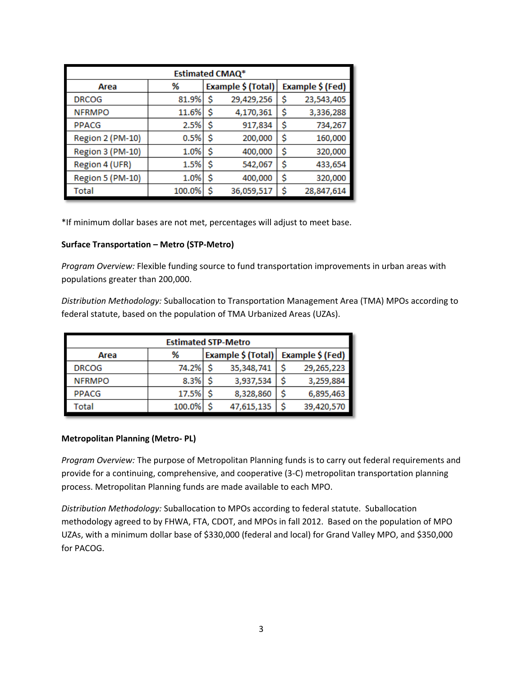| <b>Estimated CMAQ*</b>  |        |    |                    |    |                  |  |
|-------------------------|--------|----|--------------------|----|------------------|--|
| Area                    | %      |    | Example \$ (Total) |    | Example \$ (Fed) |  |
| <b>DRCOG</b>            | 81.9%  | \$ | 29,429,256         | \$ | 23,543,405       |  |
| <b>NFRMPO</b>           | 11.6%  | \$ | 4,170,361          | \$ | 3,336,288        |  |
| <b>PPACG</b>            | 2.5%   | \$ | 917,834            | \$ | 734,267          |  |
| Region 2 (PM-10)        | 0.5%   | \$ | 200,000            | \$ | 160,000          |  |
| <b>Region 3 (PM-10)</b> | 1.0%   | \$ | 400,000            | \$ | 320,000          |  |
| Region 4 (UFR)          | 1.5%   | \$ | 542,067            | \$ | 433,654          |  |
| Region 5 (PM-10)        | 1.0%   | \$ | 400,000            | \$ | 320,000          |  |
| Total                   | 100.0% | \$ | 36,059,517         | Ś  | 28,847,614       |  |

\*If minimum dollar bases are not met, percentages will adjust to meet base.

# **Surface Transportation – Metro (STP-Metro)**

*Program Overview:* Flexible funding source to fund transportation improvements in urban areas with populations greater than 200,000.

*Distribution Methodology:* Suballocation to Transportation Management Area (TMA) MPOs according to federal statute, based on the population of TMA Urbanized Areas (UZAs).

| <b>Estimated STP-Metro</b> |        |   |                    |                  |            |  |
|----------------------------|--------|---|--------------------|------------------|------------|--|
| Area                       | %      |   | Example \$ (Total) | Example \$ (Fed) |            |  |
| <b>DRCOG</b>               | 74.2%  | S | 35,348,741         |                  | 29,265,223 |  |
| <b>NFRMPO</b>              | 8.3%   | Ŝ | 3,937,534          |                  | 3,259,884  |  |
| <b>PPACG</b>               | 17.5%  |   | 8,328,860          |                  | 6,895,463  |  |
| Total                      | 100.0% |   | 47,615,135         |                  | 39,420,570 |  |

#### **Metropolitan Planning (Metro- PL)**

*Program Overview:* The purpose of Metropolitan Planning funds is to carry out federal requirements and provide for a continuing, comprehensive, and cooperative (3-C) metropolitan transportation planning process. Metropolitan Planning funds are made available to each MPO.

*Distribution Methodology:* Suballocation to MPOs according to federal statute. Suballocation methodology agreed to by FHWA, FTA, CDOT, and MPOs in fall 2012. Based on the population of MPO UZAs, with a minimum dollar base of \$330,000 (federal and local) for Grand Valley MPO, and \$350,000 for PACOG.